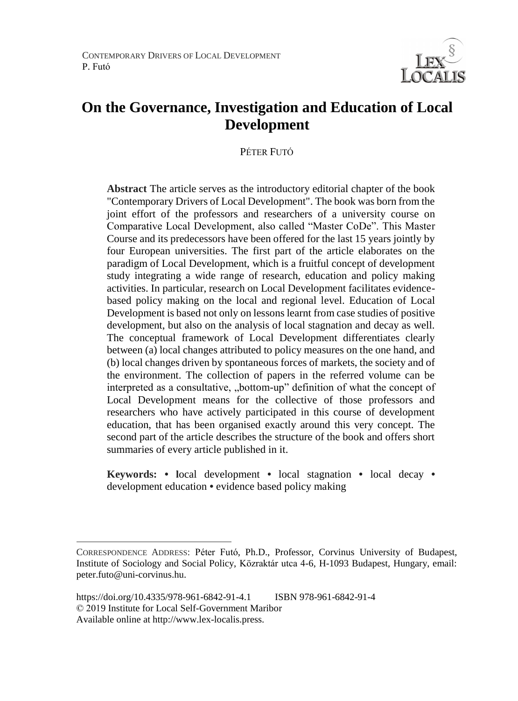

# **On the Governance, Investigation and Education of Local Development**

PÉTER FUTÓ

**Abstract** The article serves as the introductory editorial chapter of the book "Contemporary Drivers of Local Development". The book was born from the joint effort of the professors and researchers of a university course on Comparative Local Development, also called "Master CoDe". This Master Course and its predecessors have been offered for the last 15 years jointly by four European universities. The first part of the article elaborates on the paradigm of Local Development, which is a fruitful concept of development study integrating a wide range of research, education and policy making activities. In particular, research on Local Development facilitates evidencebased policy making on the local and regional level. Education of Local Development is based not only on lessons learnt from case studies of positive development, but also on the analysis of local stagnation and decay as well. The conceptual framework of Local Development differentiates clearly between (a) local changes attributed to policy measures on the one hand, and (b) local changes driven by spontaneous forces of markets, the society and of the environment. The collection of papers in the referred volume can be interpreted as a consultative, "bottom-up" definition of what the concept of Local Development means for the collective of those professors and researchers who have actively participated in this course of development education, that has been organised exactly around this very concept. The second part of the article describes the structure of the book and offers short summaries of every article published in it.

**Keywords: • l**ocal development **•** local stagnation **•** local decay **•** development education **•** evidence based policy making

 $\overline{a}$ 

CORRESPONDENCE ADDRESS: Péter Futó, Ph.D., Professor, Corvinus University of Budapest, Institute of Sociology and Social Policy, Közraktár utca 4-6, H-1093 Budapest, Hungary, email: peter.futo@uni-corvinus.hu.

https://doi.org/10.4335/978-961-6842-91-4.1 ISBN 978-961-6842-91-4 © 2019 Institute for Local Self-Government Maribor Available online at http://www.lex-localis.press.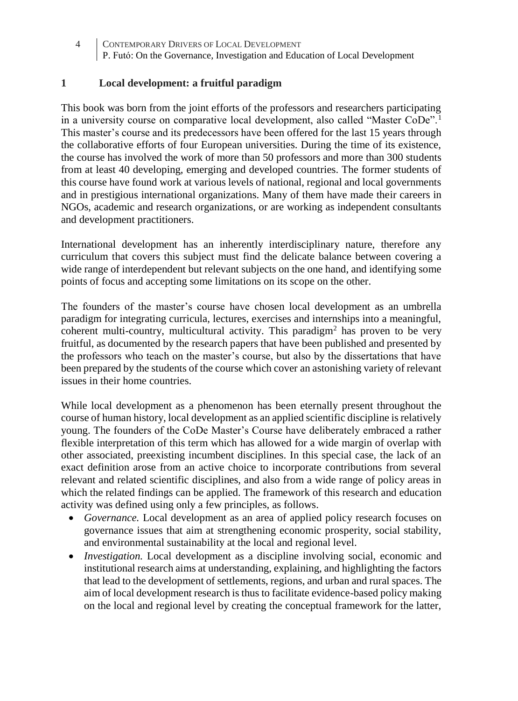### **1 Local development: a fruitful paradigm**

This book was born from the joint efforts of the professors and researchers participating in a university course on comparative local development, also called "Master CoDe".<sup>1</sup> This master's course and its predecessors have been offered for the last 15 years through the collaborative efforts of four European universities. During the time of its existence, the course has involved the work of more than 50 professors and more than 300 students from at least 40 developing, emerging and developed countries. The former students of this course have found work at various levels of national, regional and local governments and in prestigious international organizations. Many of them have made their careers in NGOs, academic and research organizations, or are working as independent consultants and development practitioners.

International development has an inherently interdisciplinary nature, therefore any curriculum that covers this subject must find the delicate balance between covering a wide range of interdependent but relevant subjects on the one hand, and identifying some points of focus and accepting some limitations on its scope on the other.

The founders of the master's course have chosen local development as an umbrella paradigm for integrating curricula, lectures, exercises and internships into a meaningful, coherent multi-country, multicultural activity. This paradigm<sup>2</sup> has proven to be very fruitful, as documented by the research papers that have been published and presented by the professors who teach on the master's course, but also by the dissertations that have been prepared by the students of the course which cover an astonishing variety of relevant issues in their home countries.

While local development as a phenomenon has been eternally present throughout the course of human history, local development as an applied scientific discipline is relatively young. The founders of the CoDe Master's Course have deliberately embraced a rather flexible interpretation of this term which has allowed for a wide margin of overlap with other associated, preexisting incumbent disciplines. In this special case, the lack of an exact definition arose from an active choice to incorporate contributions from several relevant and related scientific disciplines, and also from a wide range of policy areas in which the related findings can be applied. The framework of this research and education activity was defined using only a few principles, as follows.

- *Governance.* Local development as an area of applied policy research focuses on governance issues that aim at strengthening economic prosperity, social stability, and environmental sustainability at the local and regional level.
- *Investigation.* Local development as a discipline involving social, economic and institutional research aims at understanding, explaining, and highlighting the factors that lead to the development of settlements, regions, and urban and rural spaces. The aim of local development research is thus to facilitate evidence-based policy making on the local and regional level by creating the conceptual framework for the latter,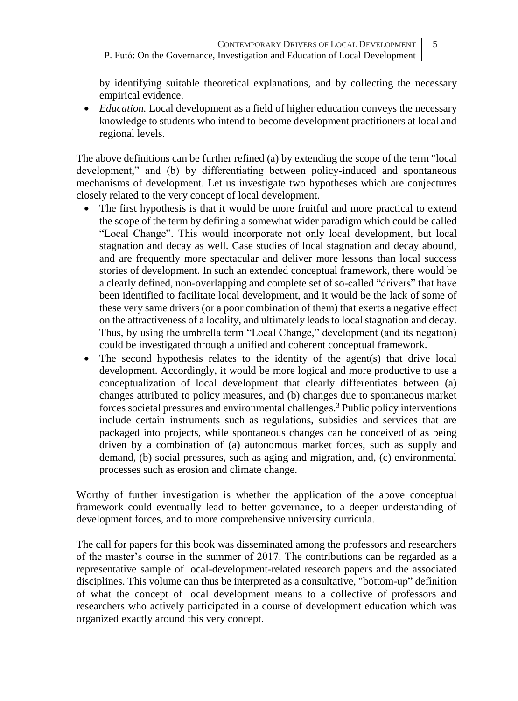by identifying suitable theoretical explanations, and by collecting the necessary empirical evidence.

• *Education*. Local development as a field of higher education conveys the necessary knowledge to students who intend to become development practitioners at local and regional levels.

The above definitions can be further refined (a) by extending the scope of the term "local development," and (b) by differentiating between policy-induced and spontaneous mechanisms of development. Let us investigate two hypotheses which are conjectures closely related to the very concept of local development.

- The first hypothesis is that it would be more fruitful and more practical to extend the scope of the term by defining a somewhat wider paradigm which could be called "Local Change". This would incorporate not only local development, but local stagnation and decay as well. Case studies of local stagnation and decay abound, and are frequently more spectacular and deliver more lessons than local success stories of development. In such an extended conceptual framework, there would be a clearly defined, non-overlapping and complete set of so-called "drivers" that have been identified to facilitate local development, and it would be the lack of some of these very same drivers (or a poor combination of them) that exerts a negative effect on the attractiveness of a locality, and ultimately leads to local stagnation and decay. Thus, by using the umbrella term "Local Change," development (and its negation) could be investigated through a unified and coherent conceptual framework.
- The second hypothesis relates to the identity of the agent(s) that drive local development. Accordingly, it would be more logical and more productive to use a conceptualization of local development that clearly differentiates between (a) changes attributed to policy measures, and (b) changes due to spontaneous market forces societal pressures and environmental challenges.<sup>3</sup> Public policy interventions include certain instruments such as regulations, subsidies and services that are packaged into projects, while spontaneous changes can be conceived of as being driven by a combination of (a) autonomous market forces, such as supply and demand, (b) social pressures, such as aging and migration, and, (c) environmental processes such as erosion and climate change.

Worthy of further investigation is whether the application of the above conceptual framework could eventually lead to better governance, to a deeper understanding of development forces, and to more comprehensive university curricula.

The call for papers for this book was disseminated among the professors and researchers of the master's course in the summer of 2017. The contributions can be regarded as a representative sample of local-development-related research papers and the associated disciplines. This volume can thus be interpreted as a consultative, "bottom-up" definition of what the concept of local development means to a collective of professors and researchers who actively participated in a course of development education which was organized exactly around this very concept.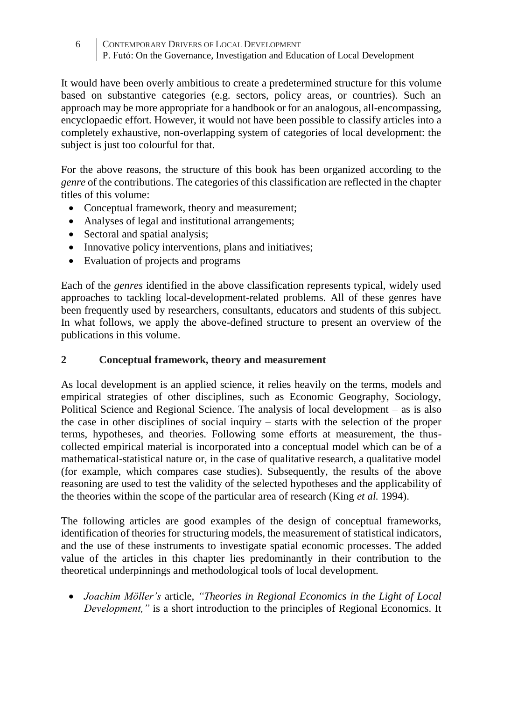It would have been overly ambitious to create a predetermined structure for this volume based on substantive categories (e.g. sectors, policy areas, or countries). Such an approach may be more appropriate for a handbook or for an analogous, all-encompassing, encyclopaedic effort. However, it would not have been possible to classify articles into a completely exhaustive, non-overlapping system of categories of local development: the subject is just too colourful for that.

For the above reasons, the structure of this book has been organized according to the *genre* of the contributions. The categories of this classification are reflected in the chapter titles of this volume:

- Conceptual framework, theory and measurement;
- Analyses of legal and institutional arrangements;
- Sectoral and spatial analysis;
- Innovative policy interventions, plans and initiatives;
- Evaluation of projects and programs

Each of the *genres* identified in the above classification represents typical, widely used approaches to tackling local-development-related problems. All of these genres have been frequently used by researchers, consultants, educators and students of this subject. In what follows, we apply the above-defined structure to present an overview of the publications in this volume.

# **2 Conceptual framework, theory and measurement**

As local development is an applied science, it relies heavily on the terms, models and empirical strategies of other disciplines, such as Economic Geography, Sociology, Political Science and Regional Science. The analysis of local development – as is also the case in other disciplines of social inquiry – starts with the selection of the proper terms, hypotheses, and theories. Following some efforts at measurement, the thuscollected empirical material is incorporated into a conceptual model which can be of a mathematical-statistical nature or, in the case of qualitative research, a qualitative model (for example, which compares case studies). Subsequently, the results of the above reasoning are used to test the validity of the selected hypotheses and the applicability of the theories within the scope of the particular area of research (King *et al.* 1994).

The following articles are good examples of the design of conceptual frameworks, identification of theories for structuring models, the measurement of statistical indicators, and the use of these instruments to investigate spatial economic processes. The added value of the articles in this chapter lies predominantly in their contribution to the theoretical underpinnings and methodological tools of local development.

• *Joachim Möller's* article, *"Theories in Regional Economics in the Light of Local Development,"* is a short introduction to the principles of Regional Economics. It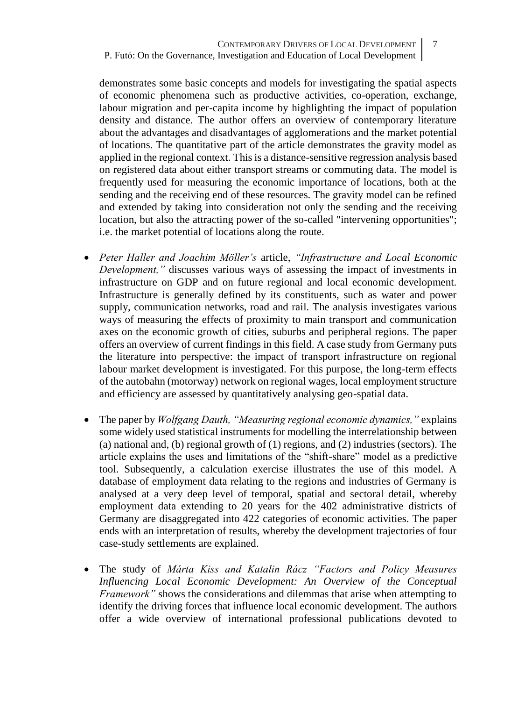demonstrates some basic concepts and models for investigating the spatial aspects of economic phenomena such as productive activities, co-operation, exchange, labour migration and per-capita income by highlighting the impact of population density and distance. The author offers an overview of contemporary literature about the advantages and disadvantages of agglomerations and the market potential of locations. The quantitative part of the article demonstrates the gravity model as applied in the regional context. This is a distance-sensitive regression analysis based on registered data about either transport streams or commuting data. The model is frequently used for measuring the economic importance of locations, both at the sending and the receiving end of these resources. The gravity model can be refined and extended by taking into consideration not only the sending and the receiving location, but also the attracting power of the so-called "intervening opportunities"; i.e. the market potential of locations along the route.

- *Peter Haller and Joachim Möller's* article, *"Infrastructure and Local Economic Development,*" discusses various ways of assessing the impact of investments in infrastructure on GDP and on future regional and local economic development. Infrastructure is generally defined by its constituents, such as water and power supply, communication networks, road and rail. The analysis investigates various ways of measuring the effects of proximity to main transport and communication axes on the economic growth of cities, suburbs and peripheral regions. The paper offers an overview of current findings in this field. A case study from Germany puts the literature into perspective: the impact of transport infrastructure on regional labour market development is investigated. For this purpose, the long-term effects of the autobahn (motorway) network on regional wages, local employment structure and efficiency are assessed by quantitatively analysing geo-spatial data.
- The paper by *Wolfgang Dauth, "Measuring regional economic dynamics,"* explains some widely used statistical instruments for modelling the interrelationship between (a) national and, (b) regional growth of (1) regions, and (2) industries (sectors). The article explains the uses and limitations of the "shift-share" model as a predictive tool. Subsequently, a calculation exercise illustrates the use of this model. A database of employment data relating to the regions and industries of Germany is analysed at a very deep level of temporal, spatial and sectoral detail, whereby employment data extending to 20 years for the 402 administrative districts of Germany are disaggregated into 422 categories of economic activities. The paper ends with an interpretation of results, whereby the development trajectories of four case-study settlements are explained.
- The study of *Márta Kiss and Katalin Rácz "Factors and Policy Measures Influencing Local Economic Development: An Overview of the Conceptual Framework"* shows the considerations and dilemmas that arise when attempting to identify the driving forces that influence local economic development. The authors offer a wide overview of international professional publications devoted to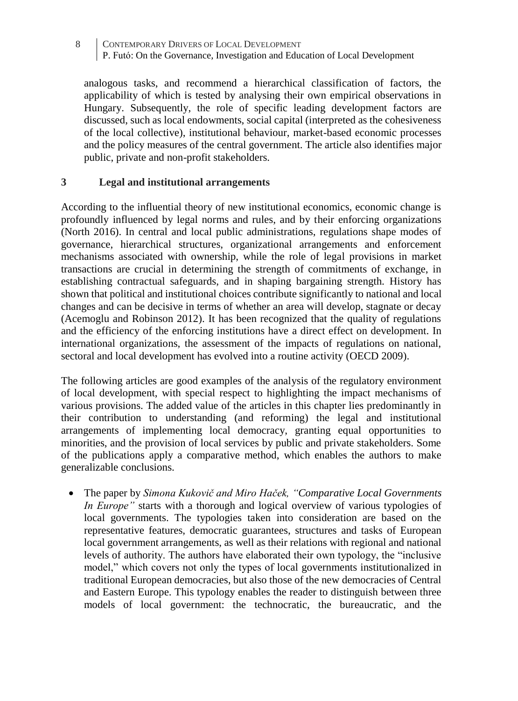analogous tasks, and recommend a hierarchical classification of factors, the applicability of which is tested by analysing their own empirical observations in Hungary. Subsequently, the role of specific leading development factors are discussed, such as local endowments, social capital (interpreted as the cohesiveness of the local collective), institutional behaviour, market-based economic processes and the policy measures of the central government. The article also identifies major public, private and non-profit stakeholders*.*

#### **3 Legal and institutional arrangements**

According to the influential theory of new institutional economics, economic change is profoundly influenced by legal norms and rules, and by their enforcing organizations (North 2016). In central and local public administrations, regulations shape modes of governance, hierarchical structures, organizational arrangements and enforcement mechanisms associated with ownership, while the role of legal provisions in market transactions are crucial in determining the strength of commitments of exchange, in establishing contractual safeguards, and in shaping bargaining strength. History has shown that political and institutional choices contribute significantly to national and local changes and can be decisive in terms of whether an area will develop, stagnate or decay (Acemoglu and Robinson 2012). It has been recognized that the quality of regulations and the efficiency of the enforcing institutions have a direct effect on development. In international organizations, the assessment of the impacts of regulations on national, sectoral and local development has evolved into a routine activity (OECD 2009).

The following articles are good examples of the analysis of the regulatory environment of local development, with special respect to highlighting the impact mechanisms of various provisions. The added value of the articles in this chapter lies predominantly in their contribution to understanding (and reforming) the legal and institutional arrangements of implementing local democracy, granting equal opportunities to minorities, and the provision of local services by public and private stakeholders. Some of the publications apply a comparative method, which enables the authors to make generalizable conclusions.

• The paper by *Simona Kukovič and Miro Haček, "Comparative Local Governments In Europe"* starts with a thorough and logical overview of various typologies of local governments. The typologies taken into consideration are based on the representative features, democratic guarantees, structures and tasks of European local government arrangements, as well as their relations with regional and national levels of authority. The authors have elaborated their own typology, the "inclusive model," which covers not only the types of local governments institutionalized in traditional European democracies, but also those of the new democracies of Central and Eastern Europe. This typology enables the reader to distinguish between three models of local government: the technocratic, the bureaucratic, and the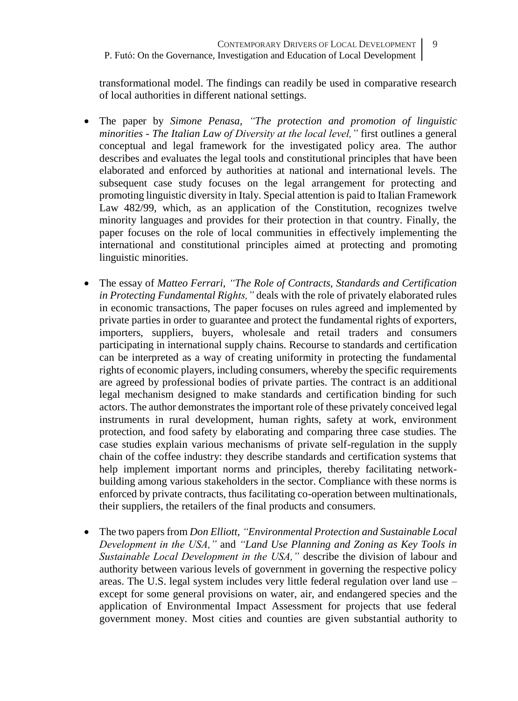transformational model. The findings can readily be used in comparative research of local authorities in different national settings.

- The paper by *Simone Penasa, "The protection and promotion of linguistic minorities - The Italian Law of Diversity at the local level,"* first outlines a general conceptual and legal framework for the investigated policy area. The author describes and evaluates the legal tools and constitutional principles that have been elaborated and enforced by authorities at national and international levels. The subsequent case study focuses on the legal arrangement for protecting and promoting linguistic diversity in Italy. Special attention is paid to Italian Framework Law 482/99, which, as an application of the Constitution, recognizes twelve minority languages and provides for their protection in that country. Finally, the paper focuses on the role of local communities in effectively implementing the international and constitutional principles aimed at protecting and promoting linguistic minorities.
- The essay of *Matteo Ferrari, "The Role of Contracts, Standards and Certification in Protecting Fundamental Rights,"* deals with the role of privately elaborated rules in economic transactions, The paper focuses on rules agreed and implemented by private parties in order to guarantee and protect the fundamental rights of exporters, importers, suppliers, buyers, wholesale and retail traders and consumers participating in international supply chains. Recourse to standards and certification can be interpreted as a way of creating uniformity in protecting the fundamental rights of economic players, including consumers, whereby the specific requirements are agreed by professional bodies of private parties. The contract is an additional legal mechanism designed to make standards and certification binding for such actors. The author demonstrates the important role of these privately conceived legal instruments in rural development, human rights, safety at work, environment protection, and food safety by elaborating and comparing three case studies. The case studies explain various mechanisms of private self-regulation in the supply chain of the coffee industry: they describe standards and certification systems that help implement important norms and principles, thereby facilitating networkbuilding among various stakeholders in the sector. Compliance with these norms is enforced by private contracts, thus facilitating co-operation between multinationals, their suppliers, the retailers of the final products and consumers.
- The two papers from *Don Elliott, "Environmental Protection and Sustainable Local Development in the USA,"* and *"Land Use Planning and Zoning as Key Tools in Sustainable Local Development in the USA,"* describe the division of labour and authority between various levels of government in governing the respective policy areas. The U.S. legal system includes very little federal regulation over land use – except for some general provisions on water, air, and endangered species and the application of Environmental Impact Assessment for projects that use federal government money. Most cities and counties are given substantial authority to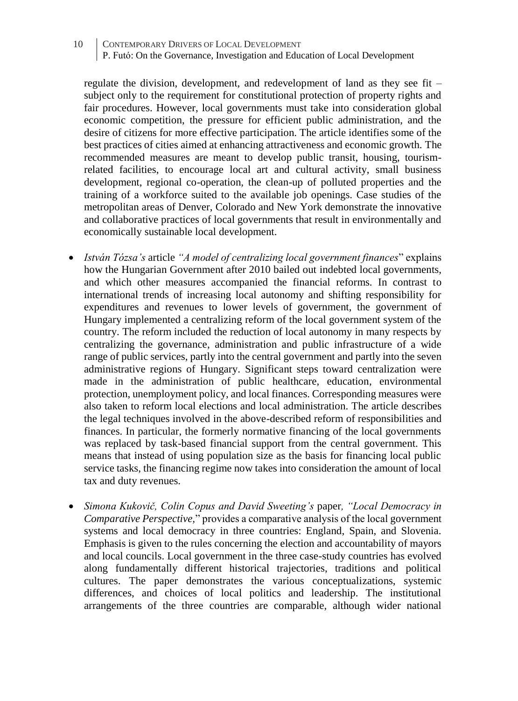regulate the division, development, and redevelopment of land as they see fit – subject only to the requirement for constitutional protection of property rights and fair procedures. However, local governments must take into consideration global economic competition, the pressure for efficient public administration, and the desire of citizens for more effective participation. The article identifies some of the best practices of cities aimed at enhancing attractiveness and economic growth. The recommended measures are meant to develop public transit, housing, tourismrelated facilities, to encourage local art and cultural activity, small business development, regional co-operation, the clean-up of polluted properties and the training of a workforce suited to the available job openings. Case studies of the metropolitan areas of Denver, Colorado and New York demonstrate the innovative and collaborative practices of local governments that result in environmentally and economically sustainable local development.

- *István Tózsa's* article *"A model of centralizing local government finances*" explains how the Hungarian Government after 2010 bailed out indebted local governments, and which other measures accompanied the financial reforms. In contrast to international trends of increasing local autonomy and shifting responsibility for expenditures and revenues to lower levels of government, the government of Hungary implemented a centralizing reform of the local government system of the country. The reform included the reduction of local autonomy in many respects by centralizing the governance, administration and public infrastructure of a wide range of public services, partly into the central government and partly into the seven administrative regions of Hungary. Significant steps toward centralization were made in the administration of public healthcare, education, environmental protection, unemployment policy, and local finances. Corresponding measures were also taken to reform local elections and local administration. The article describes the legal techniques involved in the above-described reform of responsibilities and finances. In particular, the formerly normative financing of the local governments was replaced by task-based financial support from the central government. This means that instead of using population size as the basis for financing local public service tasks, the financing regime now takes into consideration the amount of local tax and duty revenues.
- *Simona Kukovič, Colin Copus and David Sweeting's* paper*, "Local Democracy in Comparative Perspective,*" provides a comparative analysis of the local government systems and local democracy in three countries: England, Spain, and Slovenia. Emphasis is given to the rules concerning the election and accountability of mayors and local councils. Local government in the three case-study countries has evolved along fundamentally different historical trajectories, traditions and political cultures. The paper demonstrates the various conceptualizations, systemic differences, and choices of local politics and leadership. The institutional arrangements of the three countries are comparable, although wider national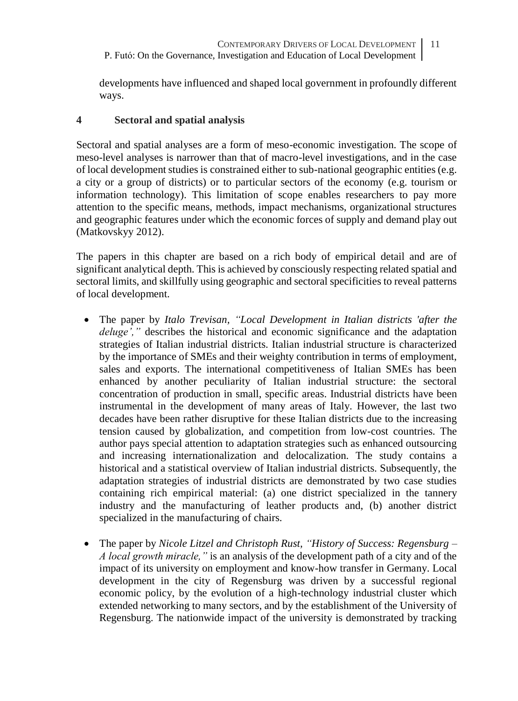developments have influenced and shaped local government in profoundly different ways.

## **4 Sectoral and spatial analysis**

Sectoral and spatial analyses are a form of meso-economic investigation. The scope of meso-level analyses is narrower than that of macro-level investigations, and in the case of local development studies is constrained either to sub-national geographic entities (e.g. a city or a group of districts) or to particular sectors of the economy (e.g. tourism or information technology). This limitation of scope enables researchers to pay more attention to the specific means, methods, impact mechanisms, organizational structures and geographic features under which the economic forces of supply and demand play out (Matkovskyy 2012).

The papers in this chapter are based on a rich body of empirical detail and are of significant analytical depth. This is achieved by consciously respecting related spatial and sectoral limits, and skillfully using geographic and sectoral specificities to reveal patterns of local development.

- The paper by *Italo Trevisan, "Local Development in Italian districts 'after the deluge',"* describes the historical and economic significance and the adaptation strategies of Italian industrial districts. Italian industrial structure is characterized by the importance of SMEs and their weighty contribution in terms of employment, sales and exports. The international competitiveness of Italian SMEs has been enhanced by another peculiarity of Italian industrial structure: the sectoral concentration of production in small, specific areas. Industrial districts have been instrumental in the development of many areas of Italy. However, the last two decades have been rather disruptive for these Italian districts due to the increasing tension caused by globalization, and competition from low-cost countries. The author pays special attention to adaptation strategies such as enhanced outsourcing and increasing internationalization and delocalization. The study contains a historical and a statistical overview of Italian industrial districts. Subsequently, the adaptation strategies of industrial districts are demonstrated by two case studies containing rich empirical material: (a) one district specialized in the tannery industry and the manufacturing of leather products and, (b) another district specialized in the manufacturing of chairs.
- The paper by *Nicole Litzel and Christoph Rust, "History of Success: Regensburg – A local growth miracle,"* is an analysis of the development path of a city and of the impact of its university on employment and know-how transfer in Germany. Local development in the city of Regensburg was driven by a successful regional economic policy, by the evolution of a high-technology industrial cluster which extended networking to many sectors, and by the establishment of the University of Regensburg. The nationwide impact of the university is demonstrated by tracking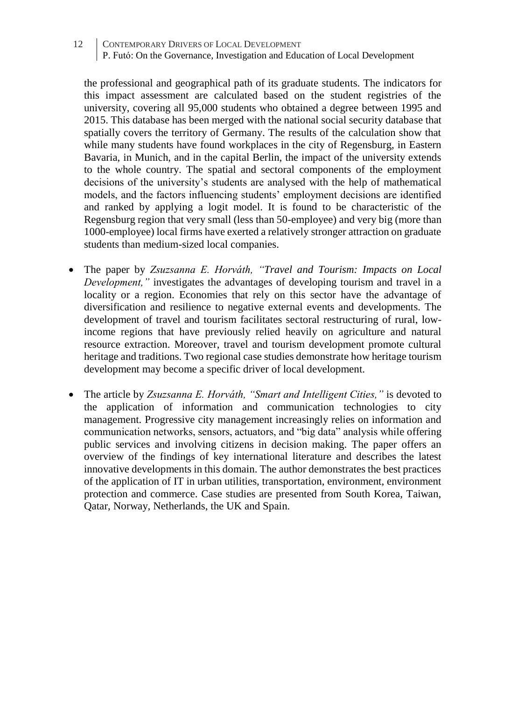the professional and geographical path of its graduate students. The indicators for this impact assessment are calculated based on the student registries of the university, covering all 95,000 students who obtained a degree between 1995 and 2015. This database has been merged with the national social security database that spatially covers the territory of Germany. The results of the calculation show that while many students have found workplaces in the city of Regensburg, in Eastern Bavaria, in Munich, and in the capital Berlin, the impact of the university extends to the whole country. The spatial and sectoral components of the employment decisions of the university's students are analysed with the help of mathematical models, and the factors influencing students' employment decisions are identified and ranked by applying a logit model. It is found to be characteristic of the Regensburg region that very small (less than 50-employee) and very big (more than 1000-employee) local firms have exerted a relatively stronger attraction on graduate students than medium-sized local companies.

- The paper by *Zsuzsanna E. Horváth, "Travel and Tourism: Impacts on Local Development,"* investigates the advantages of developing tourism and travel in a locality or a region. Economies that rely on this sector have the advantage of diversification and resilience to negative external events and developments. The development of travel and tourism facilitates sectoral restructuring of rural, lowincome regions that have previously relied heavily on agriculture and natural resource extraction. Moreover, travel and tourism development promote cultural heritage and traditions. Two regional case studies demonstrate how heritage tourism development may become a specific driver of local development.
- The article by *Zsuzsanna E. Horváth, "Smart and Intelligent Cities,"* is devoted to the application of information and communication technologies to city management. Progressive city management increasingly relies on information and communication networks, sensors, actuators, and "big data" analysis while offering public services and involving citizens in decision making. The paper offers an overview of the findings of key international literature and describes the latest innovative developments in this domain. The author demonstrates the best practices of the application of IT in urban utilities, transportation, environment, environment protection and commerce. Case studies are presented from South Korea, Taiwan, Qatar, Norway, Netherlands, the UK and Spain.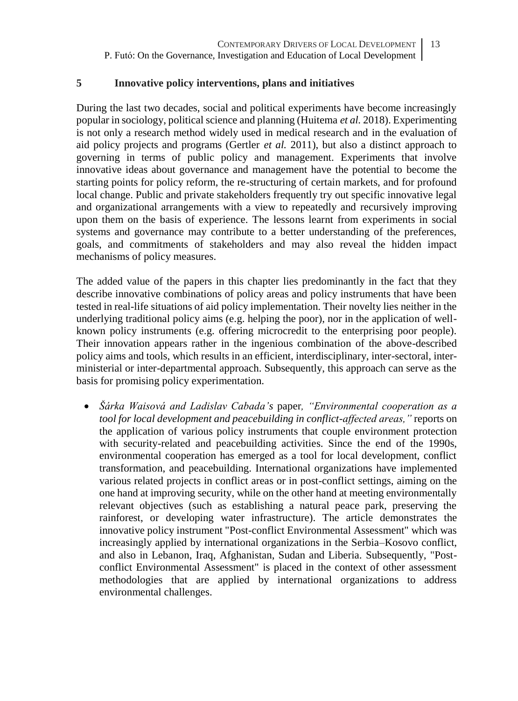#### **5 Innovative policy interventions, plans and initiatives**

During the last two decades, social and political experiments have become increasingly popular in sociology, political science and planning (Huitema *et al.* 2018). Experimenting is not only a research method widely used in medical research and in the evaluation of aid policy projects and programs (Gertler *et al.* 2011), but also a distinct approach to governing in terms of public policy and management. Experiments that involve innovative ideas about governance and management have the potential to become the starting points for policy reform, the re-structuring of certain markets, and for profound local change. Public and private stakeholders frequently try out specific innovative legal and organizational arrangements with a view to repeatedly and recursively improving upon them on the basis of experience. The lessons learnt from experiments in social systems and governance may contribute to a better understanding of the preferences, goals, and commitments of stakeholders and may also reveal the hidden impact mechanisms of policy measures.

The added value of the papers in this chapter lies predominantly in the fact that they describe innovative combinations of policy areas and policy instruments that have been tested in real-life situations of aid policy implementation. Their novelty lies neither in the underlying traditional policy aims (e.g. helping the poor), nor in the application of wellknown policy instruments (e.g. offering microcredit to the enterprising poor people). Their innovation appears rather in the ingenious combination of the above-described policy aims and tools, which results in an efficient, interdisciplinary, inter-sectoral, interministerial or inter-departmental approach. Subsequently, this approach can serve as the basis for promising policy experimentation.

• *Šárka Waisová and Ladislav Cabada's* paper*, "Environmental cooperation as a tool for local development and peacebuilding in conflict-affected areas,"* reports on the application of various policy instruments that couple environment protection with security-related and peacebuilding activities. Since the end of the 1990s, environmental cooperation has emerged as a tool for local development, conflict transformation, and peacebuilding. International organizations have implemented various related projects in conflict areas or in post-conflict settings, aiming on the one hand at improving security, while on the other hand at meeting environmentally relevant objectives (such as establishing a natural peace park, preserving the rainforest, or developing water infrastructure). The article demonstrates the innovative policy instrument "Post-conflict Environmental Assessment" which was increasingly applied by international organizations in the Serbia–Kosovo conflict, and also in Lebanon, Iraq, Afghanistan, Sudan and Liberia. Subsequently, "Postconflict Environmental Assessment" is placed in the context of other assessment methodologies that are applied by international organizations to address environmental challenges.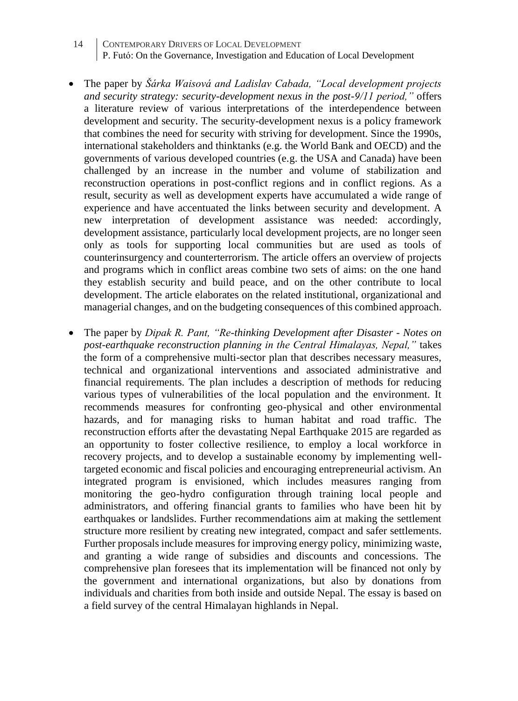- 14 CONTEMPORARY DRIVERS OF LOCAL DEVELOPMENT P. Futó: On the Governance, Investigation and Education of Local Development
- The paper by *Šárka Waisová and Ladislav Cabada, "Local development projects and security strategy: security-development nexus in the post-9/11 period,"* offers a literature review of various interpretations of the interdependence between development and security. The security-development nexus is a policy framework that combines the need for security with striving for development. Since the 1990s, international stakeholders and thinktanks (e.g. the World Bank and OECD) and the governments of various developed countries (e.g. the USA and Canada) have been challenged by an increase in the number and volume of stabilization and reconstruction operations in post-conflict regions and in conflict regions. As a result, security as well as development experts have accumulated a wide range of experience and have accentuated the links between security and development. A new interpretation of development assistance was needed: accordingly, development assistance, particularly local development projects, are no longer seen only as tools for supporting local communities but are used as tools of counterinsurgency and counterterrorism. The article offers an overview of projects and programs which in conflict areas combine two sets of aims: on the one hand they establish security and build peace, and on the other contribute to local development. The article elaborates on the related institutional, organizational and managerial changes, and on the budgeting consequences of this combined approach.
- The paper by *Dipak R. Pant, "Re-thinking Development after Disaster - Notes on post-earthquake reconstruction planning in the Central Himalayas, Nepal,"* takes the form of a comprehensive multi-sector plan that describes necessary measures, technical and organizational interventions and associated administrative and financial requirements. The plan includes a description of methods for reducing various types of vulnerabilities of the local population and the environment. It recommends measures for confronting geo-physical and other environmental hazards, and for managing risks to human habitat and road traffic. The reconstruction efforts after the devastating Nepal Earthquake 2015 are regarded as an opportunity to foster collective resilience, to employ a local workforce in recovery projects, and to develop a sustainable economy by implementing welltargeted economic and fiscal policies and encouraging entrepreneurial activism. An integrated program is envisioned, which includes measures ranging from monitoring the geo-hydro configuration through training local people and administrators, and offering financial grants to families who have been hit by earthquakes or landslides. Further recommendations aim at making the settlement structure more resilient by creating new integrated, compact and safer settlements. Further proposals include measures for improving energy policy, minimizing waste, and granting a wide range of subsidies and discounts and concessions. The comprehensive plan foresees that its implementation will be financed not only by the government and international organizations, but also by donations from individuals and charities from both inside and outside Nepal. The essay is based on a field survey of the central Himalayan highlands in Nepal.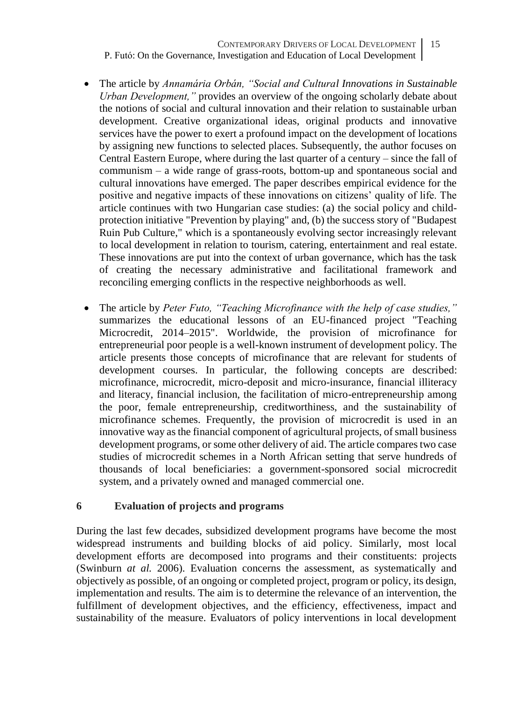CONTEMPORARY DRIVERS OF LOCAL DEVELOPMENT P. Futó: On the Governance, Investigation and Education of Local Development 15

- The article by *Annamária Orbán, "Social and Cultural Innovations in Sustainable Urban Development,"* provides an overview of the ongoing scholarly debate about the notions of social and cultural innovation and their relation to sustainable urban development. Creative organizational ideas, original products and innovative services have the power to exert a profound impact on the development of locations by assigning new functions to selected places. Subsequently, the author focuses on Central Eastern Europe, where during the last quarter of a century – since the fall of communism – a wide range of grass-roots, bottom-up and spontaneous social and cultural innovations have emerged. The paper describes empirical evidence for the positive and negative impacts of these innovations on citizens' quality of life. The article continues with two Hungarian case studies: (a) the social policy and childprotection initiative "Prevention by playing" and, (b) the success story of "Budapest Ruin Pub Culture," which is a spontaneously evolving sector increasingly relevant to local development in relation to tourism, catering, entertainment and real estate. These innovations are put into the context of urban governance, which has the task of creating the necessary administrative and facilitational framework and reconciling emerging conflicts in the respective neighborhoods as well.
- The article by *Peter Futo, "Teaching Microfinance with the help of case studies,"* summarizes the educational lessons of an EU-financed project "Teaching Microcredit, 2014–2015". Worldwide, the provision of microfinance for entrepreneurial poor people is a well-known instrument of development policy. The article presents those concepts of microfinance that are relevant for students of development courses. In particular, the following concepts are described: microfinance, microcredit, micro-deposit and micro-insurance, financial illiteracy and literacy, financial inclusion, the facilitation of micro-entrepreneurship among the poor, female entrepreneurship, creditworthiness, and the sustainability of microfinance schemes. Frequently, the provision of microcredit is used in an innovative way as the financial component of agricultural projects, of small business development programs, or some other delivery of aid. The article compares two case studies of microcredit schemes in a North African setting that serve hundreds of thousands of local beneficiaries: a government-sponsored social microcredit system, and a privately owned and managed commercial one.

#### **6 Evaluation of projects and programs**

During the last few decades, subsidized development programs have become the most widespread instruments and building blocks of aid policy. Similarly, most local development efforts are decomposed into programs and their constituents: projects (Swinburn *at al.* 2006). Evaluation concerns the assessment, as systematically and objectively as possible, of an ongoing or completed project, program or policy, its design, implementation and results. The aim is to determine the relevance of an intervention, the fulfillment of development objectives, and the efficiency, effectiveness, impact and sustainability of the measure. Evaluators of policy interventions in local development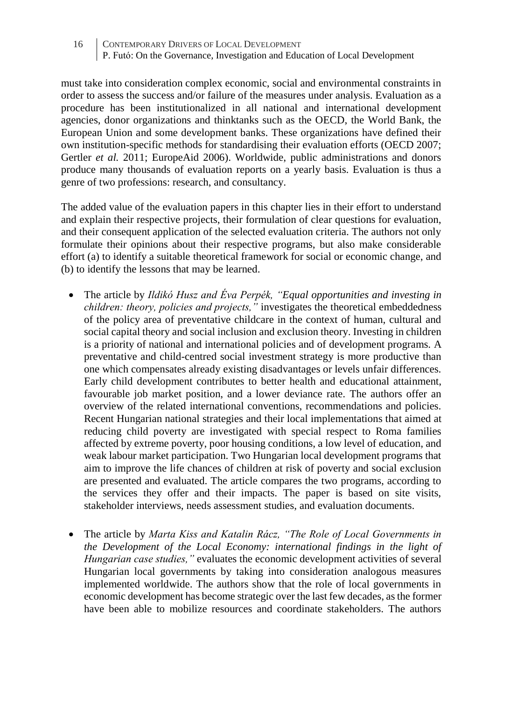must take into consideration complex economic, social and environmental constraints in order to assess the success and/or failure of the measures under analysis. Evaluation as a procedure has been institutionalized in all national and international development agencies, donor organizations and thinktanks such as the OECD, the World Bank, the European Union and some development banks. These organizations have defined their own institution-specific methods for standardising their evaluation efforts (OECD 2007; Gertler *et al.* 2011; EuropeAid 2006). Worldwide, public administrations and donors produce many thousands of evaluation reports on a yearly basis. Evaluation is thus a genre of two professions: research, and consultancy.

The added value of the evaluation papers in this chapter lies in their effort to understand and explain their respective projects, their formulation of clear questions for evaluation, and their consequent application of the selected evaluation criteria. The authors not only formulate their opinions about their respective programs, but also make considerable effort (a) to identify a suitable theoretical framework for social or economic change, and (b) to identify the lessons that may be learned.

- The article by *Ildikó Husz and Éva Perpék, "Equal opportunities and investing in children: theory, policies and projects,"* investigates the theoretical embeddedness of the policy area of preventative childcare in the context of human, cultural and social capital theory and social inclusion and exclusion theory. Investing in children is a priority of national and international policies and of development programs. A preventative and child-centred social investment strategy is more productive than one which compensates already existing disadvantages or levels unfair differences. Early child development contributes to better health and educational attainment, favourable job market position, and a lower deviance rate. The authors offer an overview of the related international conventions, recommendations and policies. Recent Hungarian national strategies and their local implementations that aimed at reducing child poverty are investigated with special respect to Roma families affected by extreme poverty, poor housing conditions, a low level of education, and weak labour market participation. Two Hungarian local development programs that aim to improve the life chances of children at risk of poverty and social exclusion are presented and evaluated. The article compares the two programs, according to the services they offer and their impacts. The paper is based on site visits, stakeholder interviews, needs assessment studies, and evaluation documents.
- The article by *Marta Kiss and Katalin Rácz, "The Role of Local Governments in the Development of the Local Economy: international findings in the light of Hungarian case studies,"* evaluates the economic development activities of several Hungarian local governments by taking into consideration analogous measures implemented worldwide. The authors show that the role of local governments in economic development has become strategic over the last few decades, as the former have been able to mobilize resources and coordinate stakeholders. The authors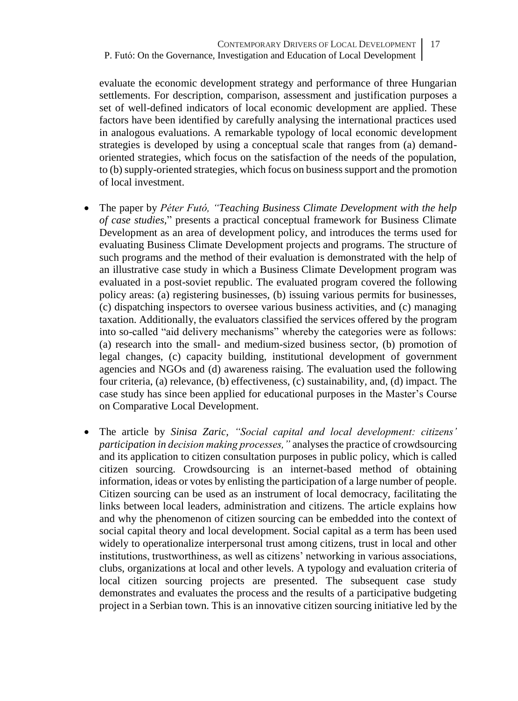evaluate the economic development strategy and performance of three Hungarian settlements. For description, comparison, assessment and justification purposes a set of well-defined indicators of local economic development are applied. These factors have been identified by carefully analysing the international practices used in analogous evaluations. A remarkable typology of local economic development strategies is developed by using a conceptual scale that ranges from (a) demandoriented strategies, which focus on the satisfaction of the needs of the population, to (b) supply-oriented strategies, which focus on business support and the promotion of local investment.

- The paper by *Péter Futó, "Teaching Business Climate Development with the help of case studies,*" presents a practical conceptual framework for Business Climate Development as an area of development policy, and introduces the terms used for evaluating Business Climate Development projects and programs. The structure of such programs and the method of their evaluation is demonstrated with the help of an illustrative case study in which a Business Climate Development program was evaluated in a post-soviet republic. The evaluated program covered the following policy areas: (a) registering businesses, (b) issuing various permits for businesses, (c) dispatching inspectors to oversee various business activities, and (c) managing taxation. Additionally, the evaluators classified the services offered by the program into so-called "aid delivery mechanisms" whereby the categories were as follows: (a) research into the small- and medium-sized business sector, (b) promotion of legal changes, (c) capacity building, institutional development of government agencies and NGOs and (d) awareness raising. The evaluation used the following four criteria, (a) relevance, (b) effectiveness, (c) sustainability, and, (d) impact. The case study has since been applied for educational purposes in the Master's Course on Comparative Local Development.
- The article by *Sinisa Zaric, "Social capital and local development: citizens' participation in decision making processes,"* analyses the practice of crowdsourcing and its application to citizen consultation purposes in public policy, which is called citizen sourcing. Crowdsourcing is an internet-based method of obtaining information, ideas or votes by enlisting the participation of a large number of people. Citizen sourcing can be used as an instrument of local democracy, facilitating the links between local leaders, administration and citizens. The article explains how and why the phenomenon of citizen sourcing can be embedded into the context of social capital theory and local development. Social capital as a term has been used widely to operationalize interpersonal trust among citizens, trust in local and other institutions, trustworthiness, as well as citizens' networking in various associations, clubs, organizations at local and other levels. A typology and evaluation criteria of local citizen sourcing projects are presented. The subsequent case study demonstrates and evaluates the process and the results of a participative budgeting project in a Serbian town. This is an innovative citizen sourcing initiative led by the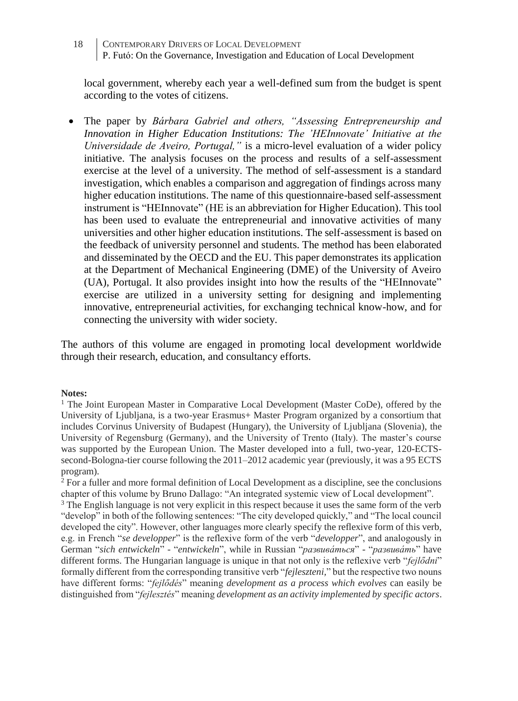local government, whereby each year a well-defined sum from the budget is spent according to the votes of citizens.

• The paper by *Bárbara Gabriel and others, "Assessing Entrepreneurship and Innovation in Higher Education Institutions: The 'HEInnovate' Initiative at the Universidade de Aveiro, Portugal,"* is a micro-level evaluation of a wider policy initiative. The analysis focuses on the process and results of a self-assessment exercise at the level of a university. The method of self-assessment is a standard investigation, which enables a comparison and aggregation of findings across many higher education institutions. The name of this questionnaire-based self-assessment instrument is "HEInnovate" (HE is an abbreviation for Higher Education). This tool has been used to evaluate the entrepreneurial and innovative activities of many universities and other higher education institutions. The self-assessment is based on the feedback of university personnel and students. The method has been elaborated and disseminated by the OECD and the EU. This paper demonstrates its application at the Department of Mechanical Engineering (DME) of the University of Aveiro (UA), Portugal. It also provides insight into how the results of the "HEInnovate" exercise are utilized in a university setting for designing and implementing innovative, entrepreneurial activities, for exchanging technical know-how, and for connecting the university with wider society.

The authors of this volume are engaged in promoting local development worldwide through their research, education, and consultancy efforts.

#### **Notes:**

<sup>1</sup> The Joint European Master in Comparative Local Development (Master CoDe), offered by the University of Ljubljana, is a two-year Erasmus+ Master Program organized by a consortium that includes Corvinus University of Budapest (Hungary), the University of Ljubljana (Slovenia), the University of Regensburg (Germany), and the University of Trento (Italy). The master's course was supported by the European Union. The Master developed into a full, two-year, 120-ECTSsecond-Bologna-tier course following the 2011–2012 academic year (previously, it was a 95 ECTS program).

 $2$  For a fuller and more formal definition of Local Development as a discipline, see the conclusions chapter of this volume by Bruno Dallago: "An integrated systemic view of Local development".

<sup>3</sup> The English language is not very explicit in this respect because it uses the same form of the verb "develop" in both of the following sentences: "The city developed quickly," and "The local council developed the city". However, other languages more clearly specify the reflexive form of this verb, e.g. in French "*se developper*" is the reflexive form of the verb "*developper*", and analogously in German "*sich entwickeln*" - "*entwickeln*", while in Russian "*развива́ться*" - "*[развива́ть](https://en.wiktionary.org/wiki/%D1%80%D0%B0%D0%B7%D0%B2%D0%B8%D0%B2%D0%B0%D1%82%D1%8C#Russian)*" have different forms. The Hungarian language is unique in that not only is the reflexive verb "*fejlődni*" formally different from the corresponding transitive verb "*fejleszteni,*" but the respective two nouns have different forms: "*fejlődés*" meaning *development as a process which evolves* can easily be distinguished from "*fejlesztés*" meaning *development as an activity implemented by specific actors*.